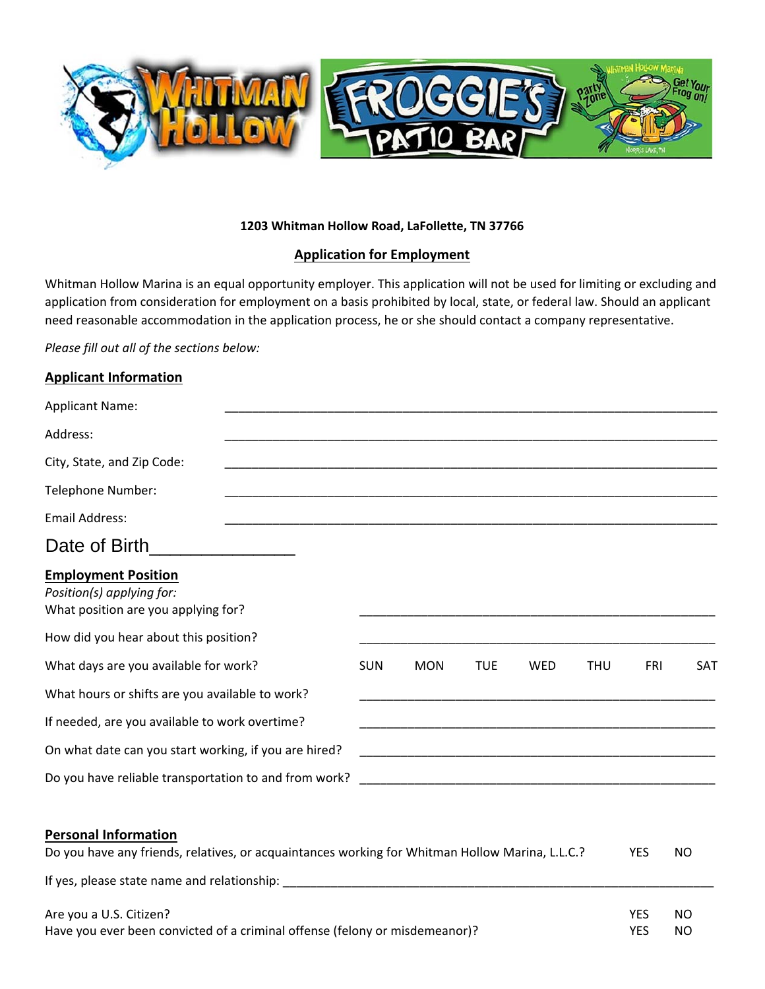

## **1203 Whitman Hollow Road, LaFollette, TN 37766**

## **Application for Employment**

Whitman Hollow Marina is an equal opportunity employer. This application will not be used for limiting or excluding and application from consideration for employment on a basis prohibited by local, state, or federal law. Should an applicant need reasonable accommodation in the application process, he or she should contact a company representative.

*Please fill out all of the sections below:* 

## **Applicant Information**

| <b>Applicant Name:</b>                                                                         |            |                                                                                                                       |            |            |            |     |     |
|------------------------------------------------------------------------------------------------|------------|-----------------------------------------------------------------------------------------------------------------------|------------|------------|------------|-----|-----|
| Address:                                                                                       |            |                                                                                                                       |            |            |            |     |     |
| City, State, and Zip Code:                                                                     |            |                                                                                                                       |            |            |            |     |     |
| Telephone Number:                                                                              |            |                                                                                                                       |            |            |            |     |     |
| Email Address:                                                                                 |            |                                                                                                                       |            |            |            |     |     |
| Date of Birth                                                                                  |            |                                                                                                                       |            |            |            |     |     |
| <b>Employment Position</b><br>Position(s) applying for:<br>What position are you applying for? |            |                                                                                                                       |            |            |            |     |     |
| How did you hear about this position?<br>What days are you available for work?                 | <b>SUN</b> | <b>MON</b>                                                                                                            | <b>TUE</b> | <b>WED</b> | <b>THU</b> | FRI | SAT |
| What hours or shifts are you available to work?                                                |            |                                                                                                                       |            |            |            |     |     |
| If needed, are you available to work overtime?                                                 |            | <u> 1989 - Johann John Stoff, deutscher Stoff, der Stoff, der Stoff, der Stoff, der Stoff, der Stoff, der Stoff, </u> |            |            |            |     |     |
| On what date can you start working, if you are hired?                                          |            |                                                                                                                       |            |            |            |     |     |
| Do you have reliable transportation to and from work?                                          |            |                                                                                                                       |            |            |            |     |     |

# **Personal Information**  Do you have any friends, relatives, or acquaintances working for Whitman Hollow Marina, L.L.C.? YES NO If yes, please state name and relationship: \_\_\_\_\_\_\_\_\_\_\_\_\_\_\_\_\_\_\_\_\_\_\_\_\_\_\_\_\_\_\_\_\_\_\_\_\_\_\_\_\_\_\_\_\_\_\_\_\_\_\_\_\_\_\_\_\_\_\_\_\_\_\_ Are you a U.S. Citizen? YES NO Have you ever been convicted of a criminal offense (felony or misdemeanor)? YES NO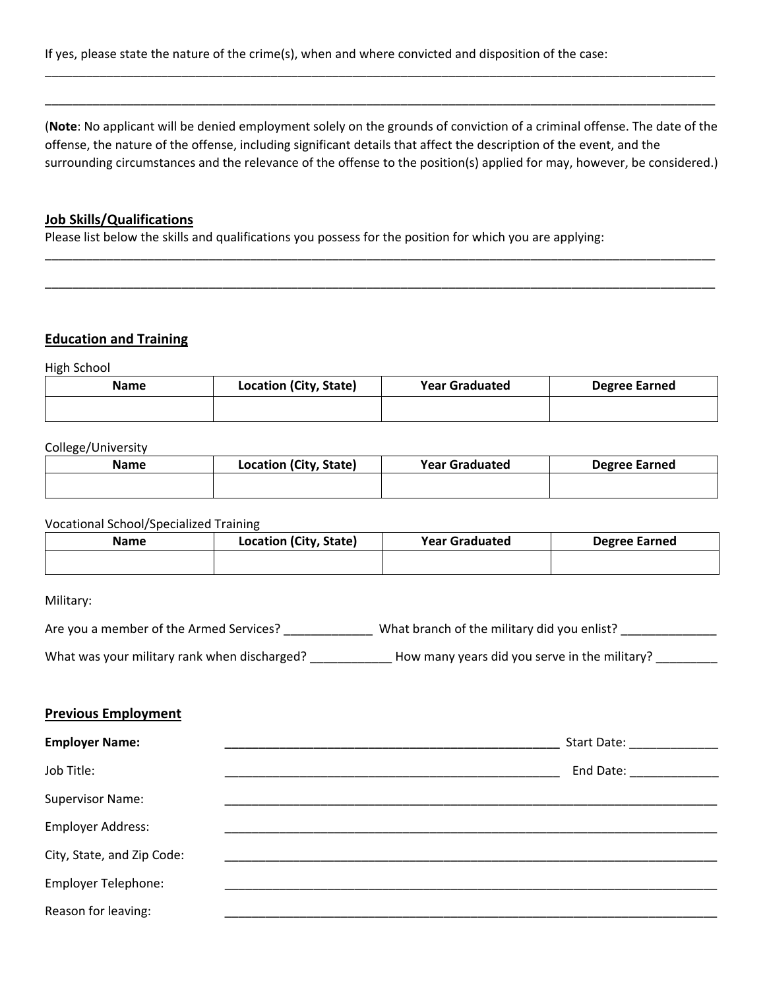If yes, please state the nature of the crime(s), when and where convicted and disposition of the case:

(**Note**: No applicant will be denied employment solely on the grounds of conviction of a criminal offense. The date of the offense, the nature of the offense, including significant details that affect the description of the event, and the surrounding circumstances and the relevance of the offense to the position(s) applied for may, however, be considered.)

\_\_\_\_\_\_\_\_\_\_\_\_\_\_\_\_\_\_\_\_\_\_\_\_\_\_\_\_\_\_\_\_\_\_\_\_\_\_\_\_\_\_\_\_\_\_\_\_\_\_\_\_\_\_\_\_\_\_\_\_\_\_\_\_\_\_\_\_\_\_\_\_\_\_\_\_\_\_\_\_\_\_\_\_\_\_\_\_\_\_\_\_\_\_\_\_\_\_

\_\_\_\_\_\_\_\_\_\_\_\_\_\_\_\_\_\_\_\_\_\_\_\_\_\_\_\_\_\_\_\_\_\_\_\_\_\_\_\_\_\_\_\_\_\_\_\_\_\_\_\_\_\_\_\_\_\_\_\_\_\_\_\_\_\_\_\_\_\_\_\_\_\_\_\_\_\_\_\_\_\_\_\_\_\_\_\_\_\_\_\_\_\_\_\_\_\_

\_\_\_\_\_\_\_\_\_\_\_\_\_\_\_\_\_\_\_\_\_\_\_\_\_\_\_\_\_\_\_\_\_\_\_\_\_\_\_\_\_\_\_\_\_\_\_\_\_\_\_\_\_\_\_\_\_\_\_\_\_\_\_\_\_\_\_\_\_\_\_\_\_\_\_\_\_\_\_\_\_\_\_\_\_\_\_\_\_\_\_\_\_\_\_\_\_\_

\_\_\_\_\_\_\_\_\_\_\_\_\_\_\_\_\_\_\_\_\_\_\_\_\_\_\_\_\_\_\_\_\_\_\_\_\_\_\_\_\_\_\_\_\_\_\_\_\_\_\_\_\_\_\_\_\_\_\_\_\_\_\_\_\_\_\_\_\_\_\_\_\_\_\_\_\_\_\_\_\_\_\_\_\_\_\_\_\_\_\_\_\_\_\_\_\_\_

## **Job Skills/Qualifications**

Please list below the skills and qualifications you possess for the position for which you are applying:

## **Education and Training**

High School

| <b>Name</b> | Location (City, State) | <b>Year Graduated</b> | <b>Degree Earned</b> |
|-------------|------------------------|-----------------------|----------------------|
|             |                        |                       |                      |

#### College/University

| Name | Location (City, State) | <b>Year Graduated</b> | <b>Degree Earned</b> |
|------|------------------------|-----------------------|----------------------|
|      |                        |                       |                      |
|      |                        |                       |                      |

#### Vocational School/Specialized Training

| <b>Name</b> | Location (City, State) | <b>Year Graduated</b> | <b>Degree Earned</b> |
|-------------|------------------------|-----------------------|----------------------|
|             |                        |                       |                      |

Military:

Are you a member of the Armed Services? \_\_\_\_\_\_\_\_\_\_\_\_\_\_\_\_\_\_ What branch of the military did you enlist? \_\_\_\_\_\_\_\_\_\_\_\_\_\_\_\_\_\_\_\_\_\_\_\_\_\_\_\_\_\_\_\_

What was your military rank when discharged? \_\_\_\_\_\_\_\_\_\_\_\_\_\_\_ How many years did you serve in the military? \_\_\_\_\_\_\_\_\_

#### **Previous Employment**

| <b>Employer Name:</b>      | Start Date:           |
|----------------------------|-----------------------|
| Job Title:                 | End Date: ___________ |
| <b>Supervisor Name:</b>    |                       |
| <b>Employer Address:</b>   |                       |
| City, State, and Zip Code: |                       |
| <b>Employer Telephone:</b> |                       |
| Reason for leaving:        |                       |